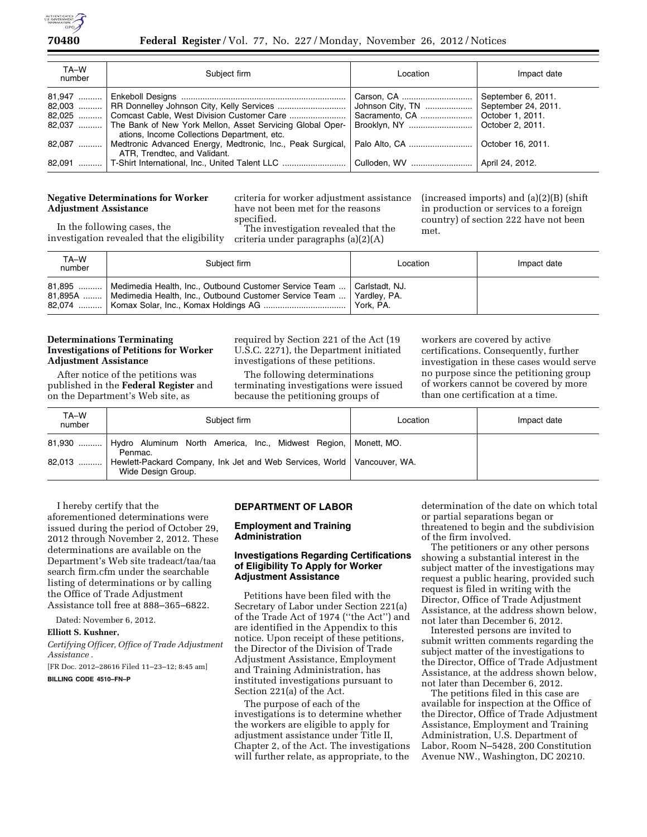

| TA-W<br>number | Subject firm                                                               | Location                        | Impact date         |
|----------------|----------------------------------------------------------------------------|---------------------------------|---------------------|
| $81,947$       |                                                                            |                                 | September 6, 2011.  |
|                |                                                                            | Johnson City, TN                | September 24, 2011. |
|                | 82,025  Comcast Cable, West Division Customer Care                         | Sacramento, CA                  | October 1, 2011.    |
|                | 82,037  The Bank of New York Mellon, Asset Servicing Global Oper-          | Brooklyn, NY                    | October 2, 2011.    |
|                | ations, Income Collections Department, etc.                                |                                 |                     |
| 82,087         | Medtronic Advanced Energy, Medtronic, Inc., Peak Surgical,   Palo Alto, CA |                                 | October 16, 2011.   |
|                | ATR, Trendtec, and Validant.                                               |                                 |                     |
|                | 82,091    T-Shirt International, Inc., United Talent LLC                   | Culloden, WV    April 24, 2012. |                     |

# **Negative Determinations for Worker Adjustment Assistance**

criteria for worker adjustment assistance have not been met for the reasons specified.

In the following cases, the investigation revealed that the eligibility

The investigation revealed that the criteria under paragraphs (a)(2)(A)

(increased imports) and (a)(2)(B) (shift in production or services to a foreign country) of section 222 have not been met.

| TA-W<br>number | Subject firm                                                                                                                                | Location         | Impact date |
|----------------|---------------------------------------------------------------------------------------------------------------------------------------------|------------------|-------------|
| 81,895         | Medimedia Health, Inc., Outbound Customer Service Team<br>81,895A    Medimedia Health, Inc., Outbound Customer Service Team    Yardley, PA. | l Carlstadt. NJ. |             |

#### **Determinations Terminating Investigations of Petitions for Worker Adjustment Assistance**

After notice of the petitions was published in the **Federal Register** and on the Department's Web site, as

required by Section 221 of the Act (19 U.S.C. 2271), the Department initiated investigations of these petitions.

The following determinations terminating investigations were issued because the petitioning groups of

workers are covered by active certifications. Consequently, further investigation in these cases would serve no purpose since the petitioning group of workers cannot be covered by more than one certification at a time.

| TA-W<br>number | Subject firm                                                                                    | Location | Impact date |
|----------------|-------------------------------------------------------------------------------------------------|----------|-------------|
| 81,930         | Hydro Aluminum North America, Inc., Midwest Region,   Monett, MO.<br>Penmac.                    |          |             |
| $82,013$       | Hewlett-Packard Company, Ink Jet and Web Services, World   Vancouver, WA.<br>Wide Design Group. |          |             |

I hereby certify that the aforementioned determinations were issued during the period of October 29, 2012 through November 2, 2012. These determinations are available on the Department's Web site tradeact/taa/taa search firm.cfm under the searchable listing of determinations or by calling the Office of Trade Adjustment Assistance toll free at 888–365–6822.

Dated: November 6, 2012.

# **Elliott S. Kushner,**

*Certifying Officer, Office of Trade Adjustment Assistance .* 

[FR Doc. 2012–28616 Filed 11–23–12; 8:45 am]

# **BILLING CODE 4510–FN–P**

#### **DEPARTMENT OF LABOR**

# **Employment and Training Administration**

#### **Investigations Regarding Certifications of Eligibility To Apply for Worker Adjustment Assistance**

Petitions have been filed with the Secretary of Labor under Section 221(a) of the Trade Act of 1974 (''the Act'') and are identified in the Appendix to this notice. Upon receipt of these petitions, the Director of the Division of Trade Adjustment Assistance, Employment and Training Administration, has instituted investigations pursuant to Section 221(a) of the Act.

The purpose of each of the investigations is to determine whether the workers are eligible to apply for adjustment assistance under Title II, Chapter 2, of the Act. The investigations will further relate, as appropriate, to the

determination of the date on which total or partial separations began or threatened to begin and the subdivision of the firm involved.

The petitioners or any other persons showing a substantial interest in the subject matter of the investigations may request a public hearing, provided such request is filed in writing with the Director, Office of Trade Adjustment Assistance, at the address shown below, not later than December 6, 2012.

Interested persons are invited to submit written comments regarding the subject matter of the investigations to the Director, Office of Trade Adjustment Assistance, at the address shown below, not later than December 6, 2012.

The petitions filed in this case are available for inspection at the Office of the Director, Office of Trade Adjustment Assistance, Employment and Training Administration, U.S. Department of Labor, Room N–5428, 200 Constitution Avenue NW., Washington, DC 20210.